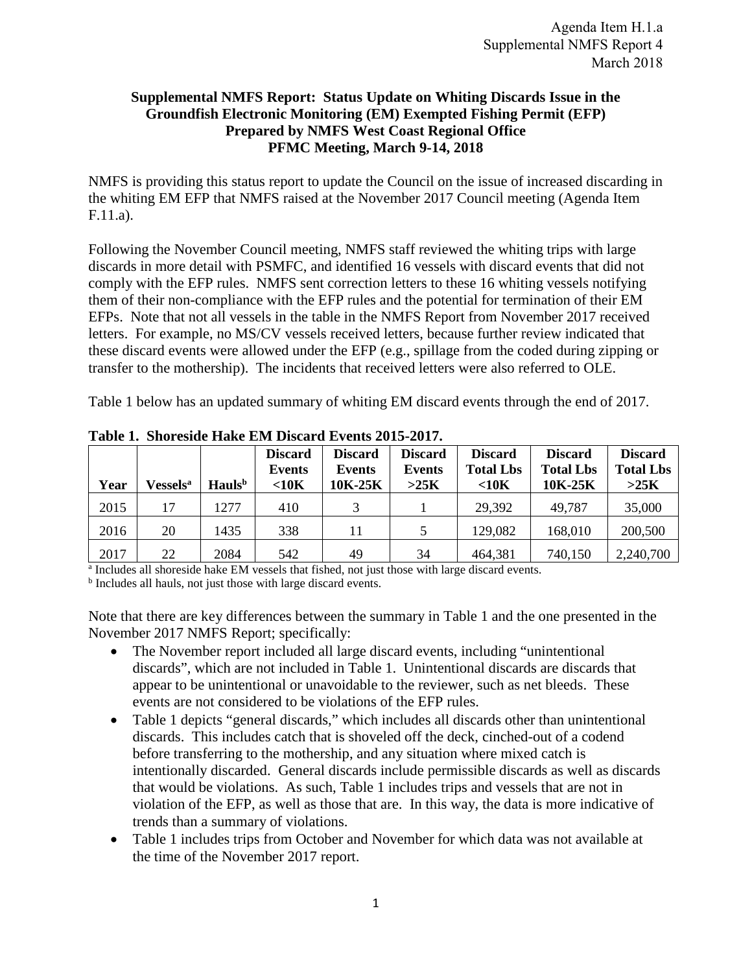## **Supplemental NMFS Report: Status Update on Whiting Discards Issue in the Groundfish Electronic Monitoring (EM) Exempted Fishing Permit (EFP) Prepared by NMFS West Coast Regional Office PFMC Meeting, March 9-14, 2018**

NMFS is providing this status report to update the Council on the issue of increased discarding in the whiting EM EFP that NMFS raised at the November 2017 Council meeting (Agenda Item F.11.a).

Following the November Council meeting, NMFS staff reviewed the whiting trips with large discards in more detail with PSMFC, and identified 16 vessels with discard events that did not comply with the EFP rules. NMFS sent correction letters to these 16 whiting vessels notifying them of their non-compliance with the EFP rules and the potential for termination of their EM EFPs. Note that not all vessels in the table in the NMFS Report from November 2017 received letters. For example, no MS/CV vessels received letters, because further review indicated that these discard events were allowed under the EFP (e.g., spillage from the coded during zipping or transfer to the mothership). The incidents that received letters were also referred to OLE.

Table 1 below has an updated summary of whiting EM discard events through the end of 2017.

| Year | <b>Vessels</b> <sup>a</sup> | Hauls <sup>b</sup> | <b>Discard</b><br>Events<br>$<$ 10 $K$ | <b>Discard</b><br>Events<br>10K-25K | <b>Discard</b><br>Events<br>>25K | <b>Discard</b><br><b>Total Lbs</b><br>$<$ 10 $\mathrm{K}$ | <b>Discard</b><br><b>Total Lbs</b><br>10K-25K | <b>Discard</b><br><b>Total Lbs</b><br>>25K |
|------|-----------------------------|--------------------|----------------------------------------|-------------------------------------|----------------------------------|-----------------------------------------------------------|-----------------------------------------------|--------------------------------------------|
| 2015 | 17                          | 1277               | 410                                    |                                     |                                  | 29,392                                                    | 49,787                                        | 35,000                                     |
| 2016 | 20                          | 1435               | 338                                    | 11                                  |                                  | 129,082                                                   | 168,010                                       | 200,500                                    |
| 2017 | 22                          | 2084               | 542                                    | 49                                  | 34                               | 464,381                                                   | 740,150                                       | 2,240,700                                  |

**Table 1. Shoreside Hake EM Discard Events 2015-2017.** 

<sup>a</sup> Includes all shoreside hake EM vessels that fished, not just those with large discard events.

<sup>b</sup> Includes all hauls, not just those with large discard events.

Note that there are key differences between the summary in Table 1 and the one presented in the November 2017 NMFS Report; specifically:

- The November report included all large discard events, including "unintentional discards", which are not included in Table 1. Unintentional discards are discards that appear to be unintentional or unavoidable to the reviewer, such as net bleeds. These events are not considered to be violations of the EFP rules.
- Table 1 depicts "general discards," which includes all discards other than unintentional discards. This includes catch that is shoveled off the deck, cinched-out of a codend before transferring to the mothership, and any situation where mixed catch is intentionally discarded. General discards include permissible discards as well as discards that would be violations. As such, Table 1 includes trips and vessels that are not in violation of the EFP, as well as those that are. In this way, the data is more indicative of trends than a summary of violations.
- Table 1 includes trips from October and November for which data was not available at the time of the November 2017 report.